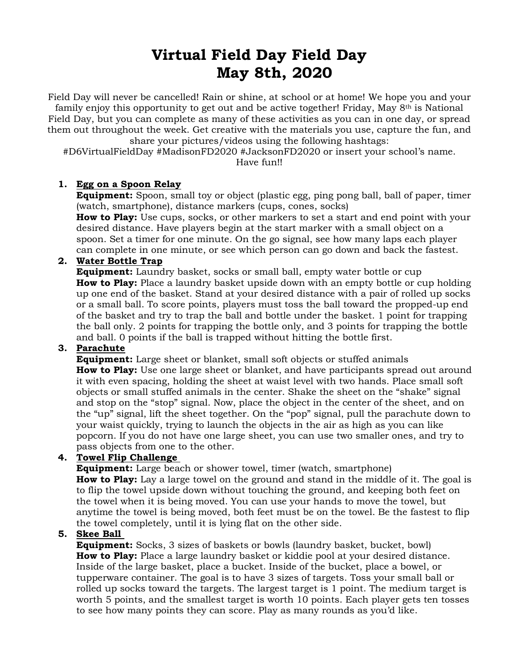# **Virtual Field Day Field Day May 8th, 2020**

Field Day will never be cancelled! Rain or shine, at school or at home! We hope you and your family enjoy this opportunity to get out and be active together! Friday, May 8th is National Field Day, but you can complete as many of these activities as you can in one day, or spread them out throughout the week. Get creative with the materials you use, capture the fun, and

share your pictures/videos using the following hashtags:

#D6VirtualFieldDay #MadisonFD2020 #JacksonFD2020 or insert your school's name.

Have fun!!

### **1. Egg on a Spoon Relay**

**Equipment:** Spoon, small toy or object (plastic egg, ping pong ball, ball of paper, timer (watch, smartphone), distance markers (cups, cones, socks)

**How to Play:** Use cups, socks, or other markers to set a start and end point with your desired distance. Have players begin at the start marker with a small object on a spoon. Set a timer for one minute. On the go signal, see how many laps each player can complete in one minute, or see which person can go down and back the fastest.

### **2. Water Bottle Trap**

**Equipment:** Laundry basket, socks or small ball, empty water bottle or cup **How to Play:** Place a laundry basket upside down with an empty bottle or cup holding up one end of the basket. Stand at your desired distance with a pair of rolled up socks or a small ball. To score points, players must toss the ball toward the propped-up end of the basket and try to trap the ball and bottle under the basket. 1 point for trapping the ball only. 2 points for trapping the bottle only, and 3 points for trapping the bottle and ball. 0 points if the ball is trapped without hitting the bottle first.

## **3. Parachute**

**Equipment:** Large sheet or blanket, small soft objects or stuffed animals **How to Play:** Use one large sheet or blanket, and have participants spread out around it with even spacing, holding the sheet at waist level with two hands. Place small soft objects or small stuffed animals in the center. Shake the sheet on the "shake" signal and stop on the "stop" signal. Now, place the object in the center of the sheet, and on the "up" signal, lift the sheet together. On the "pop" signal, pull the parachute down to your waist quickly, trying to launch the objects in the air as high as you can like popcorn. If you do not have one large sheet, you can use two smaller ones, and try to pass objects from one to the other.

### **4. Towel Flip Challenge**

**Equipment:** Large beach or shower towel, timer (watch, smartphone) **How to Play:** Lay a large towel on the ground and stand in the middle of it. The goal is to flip the towel upside down without touching the ground, and keeping both feet on the towel when it is being moved. You can use your hands to move the towel, but anytime the towel is being moved, both feet must be on the towel. Be the fastest to flip the towel completely, until it is lying flat on the other side.

### **5. Skee Ball**

**Equipment:** Socks, 3 sizes of baskets or bowls (laundry basket, bucket, bowl) **How to Play:** Place a large laundry basket or kiddie pool at your desired distance. Inside of the large basket, place a bucket. Inside of the bucket, place a bowel, or tupperware container. The goal is to have 3 sizes of targets. Toss your small ball or rolled up socks toward the targets. The largest target is 1 point. The medium target is worth 5 points, and the smallest target is worth 10 points. Each player gets ten tosses to see how many points they can score. Play as many rounds as you'd like.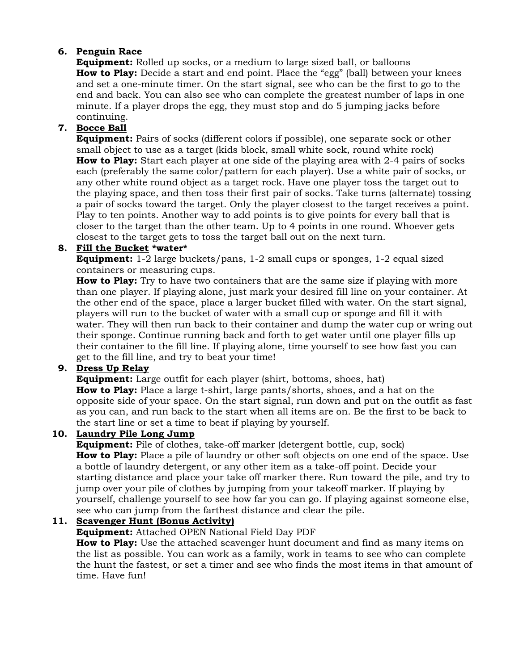## **6. Penguin Race**

**Equipment:** Rolled up socks, or a medium to large sized ball, or balloons **How to Play:** Decide a start and end point. Place the "egg" (ball) between your knees and set a one-minute timer. On the start signal, see who can be the first to go to the end and back. You can also see who can complete the greatest number of laps in one minute. If a player drops the egg, they must stop and do 5 jumping jacks before continuing.

## **7. Bocce Ball**

**Equipment:** Pairs of socks (different colors if possible), one separate sock or other small object to use as a target (kids block, small white sock, round white rock) **How to Play:** Start each player at one side of the playing area with 2-4 pairs of socks each (preferably the same color/pattern for each player). Use a white pair of socks, or any other white round object as a target rock. Have one player toss the target out to the playing space, and then toss their first pair of socks. Take turns (alternate) tossing a pair of socks toward the target. Only the player closest to the target receives a point. Play to ten points. Another way to add points is to give points for every ball that is closer to the target than the other team. Up to 4 points in one round. Whoever gets closest to the target gets to toss the target ball out on the next turn.

## **8. Fill the Bucket \*water\***

**Equipment:** 1-2 large buckets/pans, 1-2 small cups or sponges, 1-2 equal sized containers or measuring cups.

**How to Play:** Try to have two containers that are the same size if playing with more than one player. If playing alone, just mark your desired fill line on your container. At the other end of the space, place a larger bucket filled with water. On the start signal, players will run to the bucket of water with a small cup or sponge and fill it with water. They will then run back to their container and dump the water cup or wring out their sponge. Continue running back and forth to get water until one player fills up their container to the fill line. If playing alone, time yourself to see how fast you can get to the fill line, and try to beat your time!

## **9. Dress Up Relay**

**Equipment:** Large outfit for each player (shirt, bottoms, shoes, hat) **How to Play:** Place a large t-shirt, large pants/shorts, shoes, and a hat on the opposite side of your space. On the start signal, run down and put on the outfit as fast as you can, and run back to the start when all items are on. Be the first to be back to the start line or set a time to beat if playing by yourself.

### **10. Laundry Pile Long Jump**

**Equipment:** Pile of clothes, take-off marker (detergent bottle, cup, sock) **How to Play:** Place a pile of laundry or other soft objects on one end of the space. Use a bottle of laundry detergent, or any other item as a take-off point. Decide your starting distance and place your take off marker there. Run toward the pile, and try to jump over your pile of clothes by jumping from your takeoff marker. If playing by yourself, challenge yourself to see how far you can go. If playing against someone else, see who can jump from the farthest distance and clear the pile.

## **11. Scavenger Hunt (Bonus Activity)**

**Equipment:** Attached OPEN National Field Day PDF

**How to Play:** Use the attached scavenger hunt document and find as many items on the list as possible. You can work as a family, work in teams to see who can complete the hunt the fastest, or set a timer and see who finds the most items in that amount of time. Have fun!